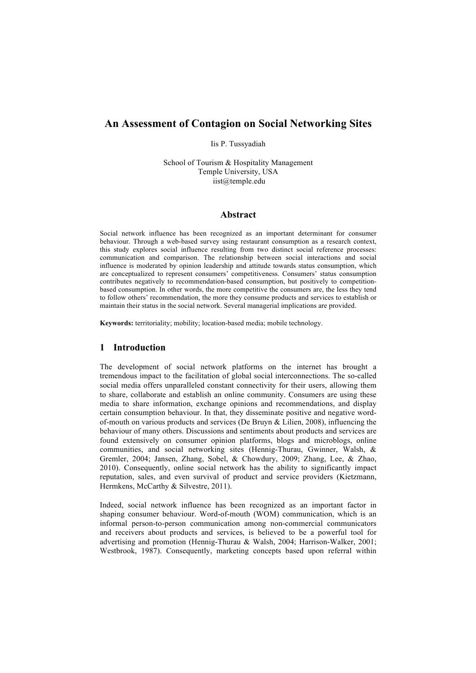# **An Assessment of Contagion on Social Networking Sites**

Iis P. Tussyadiah

School of Tourism & Hospitality Management Temple University, USA iist@temple.edu

### **Abstract**

Social network influence has been recognized as an important determinant for consumer behaviour. Through a web-based survey using restaurant consumption as a research context, this study explores social influence resulting from two distinct social reference processes: communication and comparison. The relationship between social interactions and social influence is moderated by opinion leadership and attitude towards status consumption, which are conceptualized to represent consumers' competitiveness. Consumers' status consumption contributes negatively to recommendation-based consumption, but positively to competitionbased consumption. In other words, the more competitive the consumers are, the less they tend to follow others' recommendation, the more they consume products and services to establish or maintain their status in the social network. Several managerial implications are provided.

**Keywords:** territoriality; mobility; location-based media; mobile technology.

### **1 Introduction**

The development of social network platforms on the internet has brought a tremendous impact to the facilitation of global social interconnections. The so-called social media offers unparalleled constant connectivity for their users, allowing them to share, collaborate and establish an online community. Consumers are using these media to share information, exchange opinions and recommendations, and display certain consumption behaviour. In that, they disseminate positive and negative wordof-mouth on various products and services (De Bruyn  $\&$  Lilien, 2008), influencing the behaviour of many others. Discussions and sentiments about products and services are found extensively on consumer opinion platforms, blogs and microblogs, online communities, and social networking sites (Hennig-Thurau, Gwinner, Walsh, & Gremler, 2004; Jansen, Zhang, Sobel, & Chowdury, 2009; Zhang, Lee, & Zhao, 2010). Consequently, online social network has the ability to significantly impact reputation, sales, and even survival of product and service providers (Kietzmann, Hermkens, McCarthy & Silvestre, 2011).

Indeed, social network influence has been recognized as an important factor in shaping consumer behaviour. Word-of-mouth (WOM) communication, which is an informal person-to-person communication among non-commercial communicators and receivers about products and services, is believed to be a powerful tool for advertising and promotion (Hennig-Thurau & Walsh, 2004; Harrison-Walker, 2001; Westbrook, 1987). Consequently, marketing concepts based upon referral within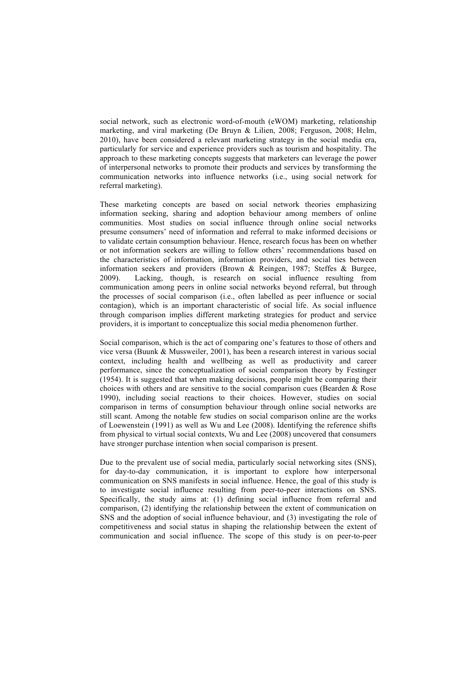social network, such as electronic word-of-mouth (eWOM) marketing, relationship marketing, and viral marketing (De Bruyn & Lilien, 2008; Ferguson, 2008; Helm, 2010), have been considered a relevant marketing strategy in the social media era, particularly for service and experience providers such as tourism and hospitality. The approach to these marketing concepts suggests that marketers can leverage the power of interpersonal networks to promote their products and services by transforming the communication networks into influence networks (i.e., using social network for referral marketing).

These marketing concepts are based on social network theories emphasizing information seeking, sharing and adoption behaviour among members of online communities. Most studies on social influence through online social networks presume consumers' need of information and referral to make informed decisions or to validate certain consumption behaviour. Hence, research focus has been on whether or not information seekers are willing to follow others' recommendations based on the characteristics of information, information providers, and social ties between information seekers and providers (Brown & Reingen, 1987; Steffes & Burgee, 2009). Lacking, though, is research on social influence resulting from communication among peers in online social networks beyond referral, but through the processes of social comparison (i.e., often labelled as peer influence or social contagion), which is an important characteristic of social life. As social influence through comparison implies different marketing strategies for product and service providers, it is important to conceptualize this social media phenomenon further.

Social comparison, which is the act of comparing one's features to those of others and vice versa (Buunk & Mussweiler, 2001), has been a research interest in various social context, including health and wellbeing as well as productivity and career performance, since the conceptualization of social comparison theory by Festinger (1954). It is suggested that when making decisions, people might be comparing their choices with others and are sensitive to the social comparison cues (Bearden & Rose 1990), including social reactions to their choices. However, studies on social comparison in terms of consumption behaviour through online social networks are still scant. Among the notable few studies on social comparison online are the works of Loewenstein (1991) as well as Wu and Lee (2008). Identifying the reference shifts from physical to virtual social contexts, Wu and Lee (2008) uncovered that consumers have stronger purchase intention when social comparison is present.

Due to the prevalent use of social media, particularly social networking sites (SNS), for day-to-day communication, it is important to explore how interpersonal communication on SNS manifests in social influence. Hence, the goal of this study is to investigate social influence resulting from peer-to-peer interactions on SNS. Specifically, the study aims at: (1) defining social influence from referral and comparison, (2) identifying the relationship between the extent of communication on SNS and the adoption of social influence behaviour, and (3) investigating the role of competitiveness and social status in shaping the relationship between the extent of communication and social influence. The scope of this study is on peer-to-peer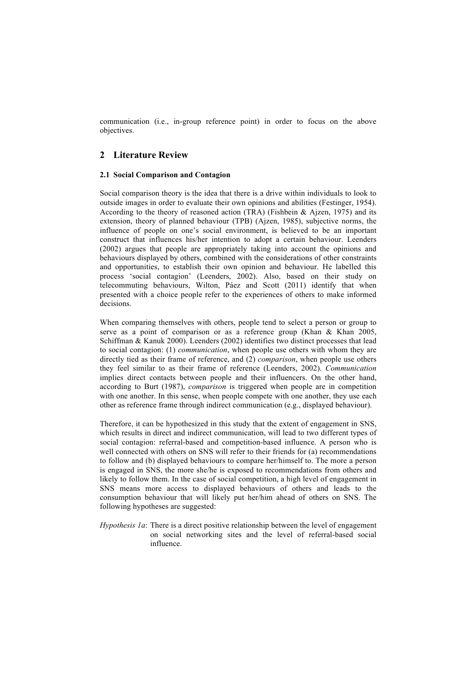communication (i.e., in-group reference point) in order to focus on the above objectives.

# **2 Literature Review**

### **2.1 Social Comparison and Contagion**

Social comparison theory is the idea that there is a drive within individuals to look to outside images in order to evaluate their own opinions and abilities (Festinger, 1954). According to the theory of reasoned action (TRA) (Fishbein & Ajzen, 1975) and its extension, theory of planned behaviour (TPB) (Ajzen, 1985), subjective norms, the influence of people on one's social environment, is believed to be an important construct that influences his/her intention to adopt a certain behaviour. Leenders (2002) argues that people are appropriately taking into account the opinions and behaviours displayed by others, combined with the considerations of other constraints and opportunities, to establish their own opinion and behaviour. He labelled this process 'social contagion' (Leenders, 2002). Also, based on their study on telecommuting behaviours, Wilton, Páez and Scott (2011) identify that when presented with a choice people refer to the experiences of others to make informed decisions.

When comparing themselves with others, people tend to select a person or group to serve as a point of comparison or as a reference group (Khan  $\&$  Khan 2005, Schiffman & Kanuk 2000). Leenders (2002) identifies two distinct processes that lead to social contagion: (1) *communication*, when people use others with whom they are directly tied as their frame of reference, and (2) *comparison*, when people use others they feel similar to as their frame of reference (Leenders, 2002). *Communication*  implies direct contacts between people and their influencers. On the other hand, according to Burt (1987), *comparison* is triggered when people are in competition with one another. In this sense, when people compete with one another, they use each other as reference frame through indirect communication (e.g., displayed behaviour).

Therefore, it can be hypothesized in this study that the extent of engagement in SNS, which results in direct and indirect communication, will lead to two different types of social contagion: referral-based and competition-based influence. A person who is well connected with others on SNS will refer to their friends for (a) recommendations to follow and (b) displayed behaviours to compare her/himself to. The more a person is engaged in SNS, the more she/he is exposed to recommendations from others and likely to follow them. In the case of social competition, a high level of engagement in SNS means more access to displayed behaviours of others and leads to the consumption behaviour that will likely put her/him ahead of others on SNS. The following hypotheses are suggested:

*Hypothesis 1a*: There is a direct positive relationship between the level of engagement on social networking sites and the level of referral-based social influence.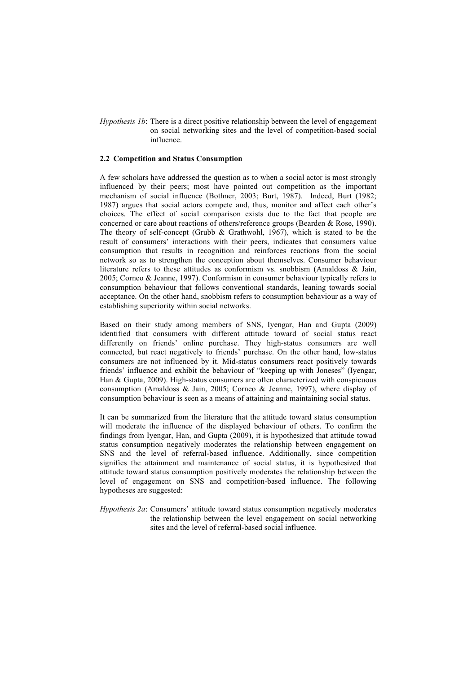*Hypothesis 1b*: There is a direct positive relationship between the level of engagement on social networking sites and the level of competition-based social influence.

#### **2.2 Competition and Status Consumption**

A few scholars have addressed the question as to when a social actor is most strongly influenced by their peers; most have pointed out competition as the important mechanism of social influence (Bothner, 2003; Burt, 1987). Indeed, Burt (1982; 1987) argues that social actors compete and, thus, monitor and affect each other's choices. The effect of social comparison exists due to the fact that people are concerned or care about reactions of others/reference groups (Bearden & Rose, 1990). The theory of self-concept (Grubb  $\&$  Grathwohl, 1967), which is stated to be the result of consumers' interactions with their peers, indicates that consumers value consumption that results in recognition and reinforces reactions from the social network so as to strengthen the conception about themselves. Consumer behaviour literature refers to these attitudes as conformism vs. snobbism (Amaldoss & Jain, 2005; Corneo & Jeanne, 1997). Conformism in consumer behaviour typically refers to consumption behaviour that follows conventional standards, leaning towards social acceptance. On the other hand, snobbism refers to consumption behaviour as a way of establishing superiority within social networks.

Based on their study among members of SNS, Iyengar, Han and Gupta (2009) identified that consumers with different attitude toward of social status react differently on friends' online purchase. They high-status consumers are well connected, but react negatively to friends' purchase. On the other hand, low-status consumers are not influenced by it. Mid-status consumers react positively towards friends' influence and exhibit the behaviour of "keeping up with Joneses" (Iyengar, Han & Gupta, 2009). High-status consumers are often characterized with conspicuous consumption (Amaldoss & Jain, 2005; Corneo & Jeanne, 1997), where display of consumption behaviour is seen as a means of attaining and maintaining social status.

It can be summarized from the literature that the attitude toward status consumption will moderate the influence of the displayed behaviour of others. To confirm the findings from Iyengar, Han, and Gupta (2009), it is hypothesized that attitude towad status consumption negatively moderates the relationship between engagement on SNS and the level of referral-based influence. Additionally, since competition signifies the attainment and maintenance of social status, it is hypothesized that attitude toward status consumption positively moderates the relationship between the level of engagement on SNS and competition-based influence. The following hypotheses are suggested:

*Hypothesis 2a*: Consumers' attitude toward status consumption negatively moderates the relationship between the level engagement on social networking sites and the level of referral-based social influence.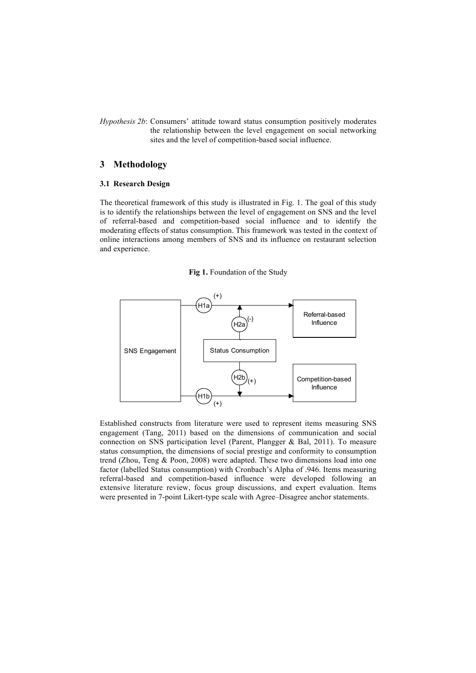*Hypothesis 2b*: Consumers' attitude toward status consumption positively moderates the relationship between the level engagement on social networking sites and the level of competition-based social influence.

# **3 Methodology**

### **3.1 Research Design**

The theoretical framework of this study is illustrated in Fig. 1. The goal of this study is to identify the relationships between the level of engagement on SNS and the level of referral-based and competition-based social influence and to identify the moderating effects of status consumption. This framework was tested in the context of online interactions among members of SNS and its influence on restaurant selection and experience.

**Fig 1.** Foundation of the Study



Established constructs from literature were used to represent items measuring SNS engagement (Tang, 2011) based on the dimensions of communication and social connection on SNS participation level (Parent, Plangger & Bal, 2011). To measure status consumption, the dimensions of social prestige and conformity to consumption trend (Zhou, Teng & Poon, 2008) were adapted. These two dimensions load into one factor (labelled Status consumption) with Cronbach's Alpha of .946. Items measuring referral-based and competition-based influence were developed following an extensive literature review, focus group discussions, and expert evaluation. Items were presented in 7-point Likert-type scale with Agree–Disagree anchor statements.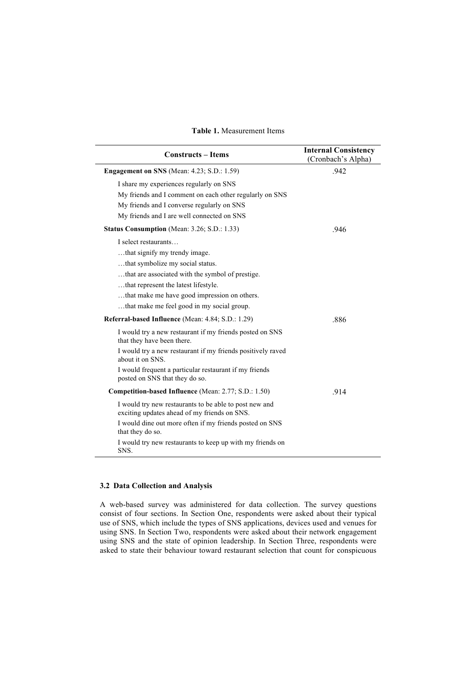### **Table 1.** Measurement Items

| <b>Constructs - Items</b>                                                                                                                                                                      | <b>Internal Consistency</b><br>(Cronbach's Alpha) |
|------------------------------------------------------------------------------------------------------------------------------------------------------------------------------------------------|---------------------------------------------------|
| Engagement on SNS (Mean: 4.23; S.D.: 1.59)                                                                                                                                                     | .942                                              |
| I share my experiences regularly on SNS<br>My friends and I comment on each other regularly on SNS<br>My friends and I converse regularly on SNS<br>My friends and I are well connected on SNS |                                                   |
| Status Consumption (Mean: 3.26; S.D.: 1.33)                                                                                                                                                    | .946                                              |
| I select restaurants<br>that signify my trendy image.<br>that symbolize my social status.<br>that are associated with the symbol of prestige.<br>that represent the latest lifestyle.          |                                                   |
| that make me have good impression on others.<br>that make me feel good in my social group.                                                                                                     |                                                   |
| <b>Referral-based Influence</b> (Mean: 4.84; S.D.: 1.29)                                                                                                                                       | .886                                              |
| I would try a new restaurant if my friends posted on SNS<br>that they have been there.                                                                                                         |                                                   |
| I would try a new restaurant if my friends positively raved<br>about it on SNS.                                                                                                                |                                                   |
| I would frequent a particular restaurant if my friends<br>posted on SNS that they do so.                                                                                                       |                                                   |
| <b>Competition-based Influence</b> (Mean: 2.77; S.D.: 1.50)                                                                                                                                    | .914                                              |
| I would try new restaurants to be able to post new and<br>exciting updates ahead of my friends on SNS.                                                                                         |                                                   |
| I would dine out more often if my friends posted on SNS<br>that they do so.                                                                                                                    |                                                   |
| I would try new restaurants to keep up with my friends on<br>SNS.                                                                                                                              |                                                   |

## **3.2 Data Collection and Analysis**

A web-based survey was administered for data collection. The survey questions consist of four sections. In Section One, respondents were asked about their typical use of SNS, which include the types of SNS applications, devices used and venues for using SNS. In Section Two, respondents were asked about their network engagement using SNS and the state of opinion leadership. In Section Three, respondents were asked to state their behaviour toward restaurant selection that count for conspicuous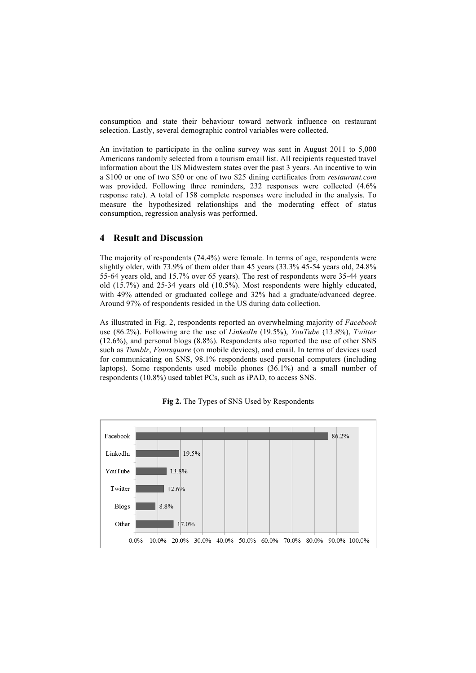consumption and state their behaviour toward network influence on restaurant selection. Lastly, several demographic control variables were collected.

An invitation to participate in the online survey was sent in August 2011 to 5,000 Americans randomly selected from a tourism email list. All recipients requested travel information about the US Midwestern states over the past 3 years. An incentive to win a \$100 or one of two \$50 or one of two \$25 dining certificates from *restaurant.com* was provided. Following three reminders, 232 responses were collected  $(4.6\%$ response rate). A total of 158 complete responses were included in the analysis. To measure the hypothesized relationships and the moderating effect of status consumption, regression analysis was performed.

## **4 Result and Discussion**

The majority of respondents (74.4%) were female. In terms of age, respondents were slightly older, with 73.9% of them older than 45 years (33.3% 45-54 years old, 24.8% 55-64 years old, and 15.7% over 65 years). The rest of respondents were 35-44 years old (15.7%) and 25-34 years old (10.5%). Most respondents were highly educated, with 49% attended or graduated college and 32% had a graduate/advanced degree. Around 97% of respondents resided in the US during data collection.

As illustrated in Fig. 2, respondents reported an overwhelming majority of *Facebook* use (86.2%). Following are the use of *LinkedIn* (19.5%), *YouTube* (13.8%), *Twitter* (12.6%), and personal blogs (8.8%). Respondents also reported the use of other SNS such as *Tumblr*, *Foursquare* (on mobile devices), and email. In terms of devices used for communicating on SNS, 98.1% respondents used personal computers (including laptops). Some respondents used mobile phones (36.1%) and a small number of respondents (10.8%) used tablet PCs, such as iPAD, to access SNS.



**Fig 2.** The Types of SNS Used by Respondents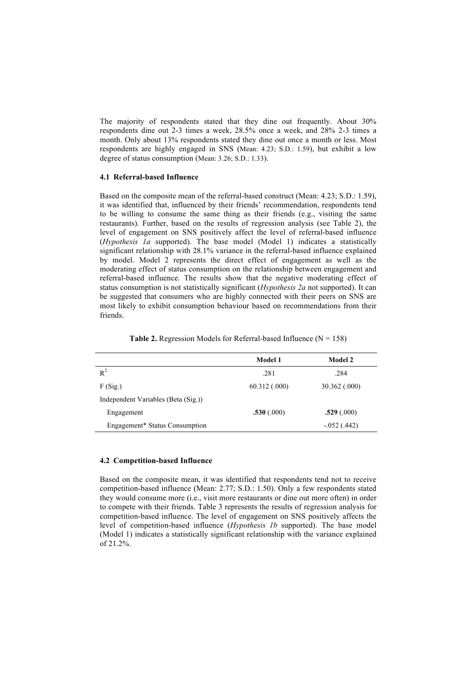The majority of respondents stated that they dine out frequently. About 30% respondents dine out 2-3 times a week, 28.5% once a week, and 28% 2-3 times a month. Only about 13% respondents stated they dine out once a month or less. Most respondents are highly engaged in SNS (Mean: 4.23; S.D.: 1.59), but exhibit a low degree of status consumption (Mean: 3.26; S.D.: 1.33).

#### **4.1 Referral-based Influence**

Based on the composite mean of the referral-based construct (Mean: 4.23; S.D.: 1.59), it was identified that, influenced by their friends' recommendation, respondents tend to be willing to consume the same thing as their friends (e.g., visiting the same restaurants). Further, based on the results of regression analysis (see Table 2), the level of engagement on SNS positively affect the level of referral-based influence (*Hypothesis 1a* supported). The base model (Model 1) indicates a statistically significant relationship with 28.1% variance in the referral-based influence explained by model. Model 2 represents the direct effect of engagement as well as the moderating effect of status consumption on the relationship between engagement and referral-based influence. The results show that the negative moderating effect of status consumption is not statistically significant (*Hypothesis 2a* not supported). It can be suggested that consumers who are highly connected with their peers on SNS are most likely to exhibit consumption behaviour based on recommendations from their friends.

|  | <b>Table 2.</b> Regression Models for Referral-based Influence ( $N = 158$ ) |  |  |  |
|--|------------------------------------------------------------------------------|--|--|--|
|--|------------------------------------------------------------------------------|--|--|--|

| Model 1       | Model 2       |
|---------------|---------------|
| .281          | .284          |
| 60.312(0.000) | 30.362 (.000) |
|               |               |
| .530(.000)    | .529(.000)    |
|               | $-.052(.442)$ |
|               |               |

#### **4.2 Competition-based Influence**

Based on the composite mean, it was identified that respondents tend not to receive competition-based influence (Mean: 2.77; S.D.: 1.50). Only a few respondents stated they would consume more (i.e., visit more restaurants or dine out more often) in order to compete with their friends. Table 3 represents the results of regression analysis for competition-based influence. The level of engagement on SNS positively affects the level of competition-based influence (*Hypothesis 1b* supported). The base model (Model 1) indicates a statistically significant relationship with the variance explained of 21.2%.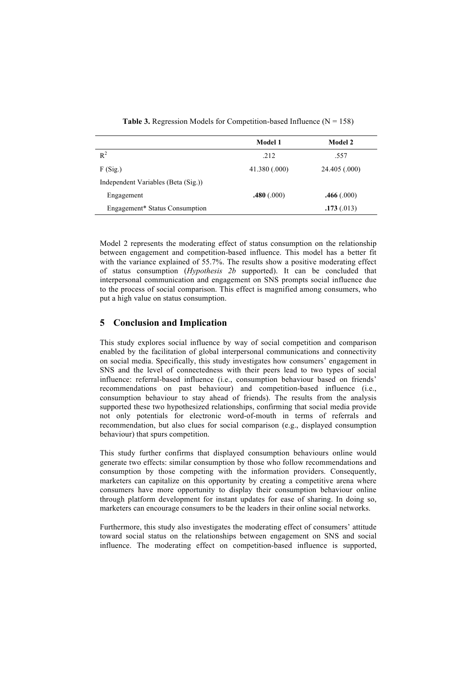| Model 1       | <b>Model 2</b> |
|---------------|----------------|
| .212          | .557           |
| 41.380 (.000) | 24.405 (.000)  |
|               |                |
| .480(.000)    | .466(.000)     |
|               | .173(.013)     |
|               |                |

**Table 3.** Regression Models for Competition-based Influence  $(N = 158)$ 

Model 2 represents the moderating effect of status consumption on the relationship between engagement and competition-based influence. This model has a better fit with the variance explained of 55.7%. The results show a positive moderating effect of status consumption (*Hypothesis 2b* supported). It can be concluded that interpersonal communication and engagement on SNS prompts social influence due to the process of social comparison. This effect is magnified among consumers, who put a high value on status consumption.

# **5 Conclusion and Implication**

This study explores social influence by way of social competition and comparison enabled by the facilitation of global interpersonal communications and connectivity on social media. Specifically, this study investigates how consumers' engagement in SNS and the level of connectedness with their peers lead to two types of social influence: referral-based influence (i.e., consumption behaviour based on friends' recommendations on past behaviour) and competition-based influence (i.e., consumption behaviour to stay ahead of friends). The results from the analysis supported these two hypothesized relationships, confirming that social media provide not only potentials for electronic word-of-mouth in terms of referrals and recommendation, but also clues for social comparison (e.g., displayed consumption behaviour) that spurs competition.

This study further confirms that displayed consumption behaviours online would generate two effects: similar consumption by those who follow recommendations and consumption by those competing with the information providers. Consequently, marketers can capitalize on this opportunity by creating a competitive arena where consumers have more opportunity to display their consumption behaviour online through platform development for instant updates for ease of sharing. In doing so, marketers can encourage consumers to be the leaders in their online social networks.

Furthermore, this study also investigates the moderating effect of consumers' attitude toward social status on the relationships between engagement on SNS and social influence. The moderating effect on competition-based influence is supported,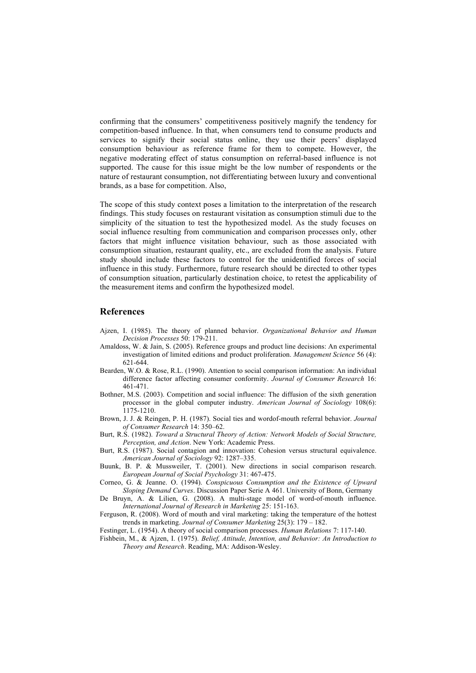confirming that the consumers' competitiveness positively magnify the tendency for competition-based influence. In that, when consumers tend to consume products and services to signify their social status online, they use their peers' displayed consumption behaviour as reference frame for them to compete. However, the negative moderating effect of status consumption on referral-based influence is not supported. The cause for this issue might be the low number of respondents or the nature of restaurant consumption, not differentiating between luxury and conventional brands, as a base for competition. Also,

The scope of this study context poses a limitation to the interpretation of the research findings. This study focuses on restaurant visitation as consumption stimuli due to the simplicity of the situation to test the hypothesized model. As the study focuses on social influence resulting from communication and comparison processes only, other factors that might influence visitation behaviour, such as those associated with consumption situation, restaurant quality, etc., are excluded from the analysis. Future study should include these factors to control for the unidentified forces of social influence in this study. Furthermore, future research should be directed to other types of consumption situation, particularly destination choice, to retest the applicability of the measurement items and confirm the hypothesized model.

### **References**

- Ajzen, I. (1985). The theory of planned behavior. *Organizational Behavior and Human Decision Processes* 50: 179-211.
- Amaldoss, W. & Jain, S. (2005). Reference groups and product line decisions: An experimental investigation of limited editions and product proliferation. *Management Science* 56 (4): 621-644.
- Bearden, W.O. & Rose, R.L. (1990). Attention to social comparison information: An individual difference factor affecting consumer conformity. *Journal of Consumer Research* 16: 461-471.
- Bothner, M.S. (2003). Competition and social influence: The diffusion of the sixth generation processor in the global computer industry. *American Journal of Sociology* 108(6): 1175-1210.
- Brown, J. J. & Reingen, P. H. (1987). Social ties and wordof-mouth referral behavior. *Journal of Consumer Research* 14: 350–62.
- Burt, R.S. (1982). *Toward a Structural Theory of Action: Network Models of Social Structure, Perception, and Action*. New York: Academic Press.
- Burt, R.S. (1987). Social contagion and innovation: Cohesion versus structural equivalence. *American Journal of Sociology* 92: 1287–335.
- Buunk, B. P. & Mussweiler, T. (2001). New directions in social comparison research. *European Journal of Social Psychology* 31: 467-475.
- Corneo, G. & Jeanne. O. (1994). *Conspicuous Consumption and the Existence of Upward Sloping Demand Curves*. Discussion Paper Serie A 461. University of Bonn, Germany
- De Bruyn, A. & Lilien, G. (2008). A multi-stage model of word-of-mouth influence. *International Journal of Research in Marketing* 25: 151-163.
- Ferguson, R. (2008). Word of mouth and viral marketing: taking the temperature of the hottest trends in marketing. *Journal of Consumer Marketing* 25(3): 179 – 182.
- Festinger, L. (1954). A theory of social comparison processes. *Human Relations* 7: 117-140.
- Fishbein, M., & Ajzen, I. (1975). *Belief, Attitude, Intention, and Behavior: An Introduction to Theory and Research*. Reading, MA: Addison-Wesley.